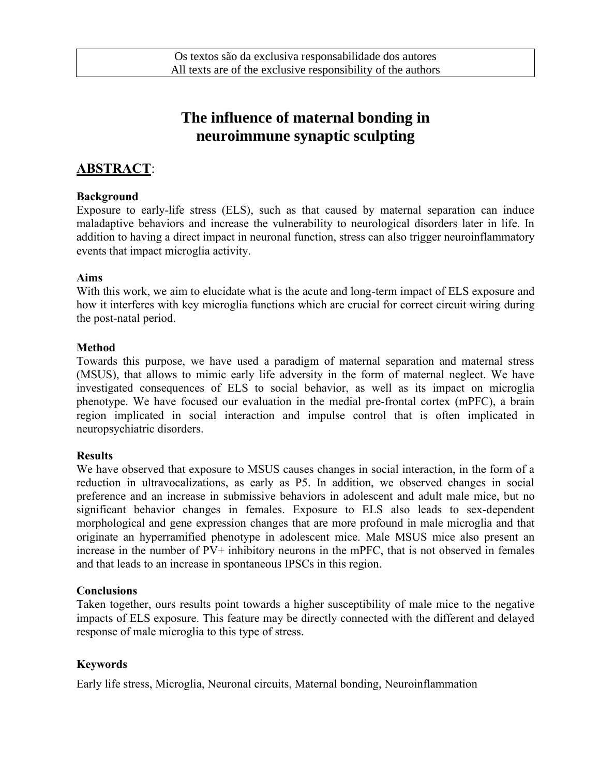# **The influence of maternal bonding in neuroimmune synaptic sculpting**

### **ABSTRACT**:

#### **Background**

Exposure to early-life stress (ELS), such as that caused by maternal separation can induce maladaptive behaviors and increase the vulnerability to neurological disorders later in life. In addition to having a direct impact in neuronal function, stress can also trigger neuroinflammatory events that impact microglia activity.

#### **Aims**

With this work, we aim to elucidate what is the acute and long-term impact of ELS exposure and how it interferes with key microglia functions which are crucial for correct circuit wiring during the post-natal period.

#### **Method**

Towards this purpose, we have used a paradigm of maternal separation and maternal stress (MSUS), that allows to mimic early life adversity in the form of maternal neglect. We have investigated consequences of ELS to social behavior, as well as its impact on microglia phenotype. We have focused our evaluation in the medial pre-frontal cortex (mPFC), a brain region implicated in social interaction and impulse control that is often implicated in neuropsychiatric disorders.

#### **Results**

We have observed that exposure to MSUS causes changes in social interaction, in the form of a reduction in ultravocalizations, as early as P5. In addition, we observed changes in social preference and an increase in submissive behaviors in adolescent and adult male mice, but no significant behavior changes in females. Exposure to ELS also leads to sex-dependent morphological and gene expression changes that are more profound in male microglia and that originate an hyperramified phenotype in adolescent mice. Male MSUS mice also present an increase in the number of PV+ inhibitory neurons in the mPFC, that is not observed in females and that leads to an increase in spontaneous IPSCs in this region.

#### **Conclusions**

Taken together, ours results point towards a higher susceptibility of male mice to the negative impacts of ELS exposure. This feature may be directly connected with the different and delayed response of male microglia to this type of stress.

#### **Keywords**

Early life stress, Microglia, Neuronal circuits, Maternal bonding, Neuroinflammation